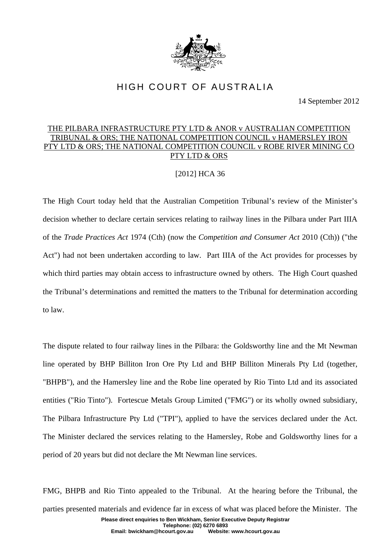

## HIGH COURT OF AUSTRALIA

14 September 2012

## THE PILBARA INFRASTRUCTURE PTY LTD & ANOR v AUSTRALIAN COMPETITION TRIBUNAL & ORS; THE NATIONAL COMPETITION COUNCIL v HAMERSLEY IRON PTY LTD & ORS; THE NATIONAL COMPETITION COUNCIL v ROBE RIVER MINING CO PTY LTD & ORS

## [2012] HCA 36

The High Court today held that the Australian Competition Tribunal's review of the Minister's decision whether to declare certain services relating to railway lines in the Pilbara under Part IIIA of the *Trade Practices Act* 1974 (Cth) (now the *Competition and Consumer Act* 2010 (Cth)) ("the Act") had not been undertaken according to law. Part IIIA of the Act provides for processes by which third parties may obtain access to infrastructure owned by others. The High Court quashed the Tribunal's determinations and remitted the matters to the Tribunal for determination according to law.

The dispute related to four railway lines in the Pilbara: the Goldsworthy line and the Mt Newman line operated by BHP Billiton Iron Ore Pty Ltd and BHP Billiton Minerals Pty Ltd (together, "BHPB"), and the Hamersley line and the Robe line operated by Rio Tinto Ltd and its associated entities ("Rio Tinto"). Fortescue Metals Group Limited ("FMG") or its wholly owned subsidiary, The Pilbara Infrastructure Pty Ltd ("TPI"), applied to have the services declared under the Act. The Minister declared the services relating to the Hamersley, Robe and Goldsworthy lines for a period of 20 years but did not declare the Mt Newman line services.

**Please direct enquiries to Ben Wickham, Senior Executive Deputy Registrar Telephone: (02) 6270 6893**  FMG, BHPB and Rio Tinto appealed to the Tribunal. At the hearing before the Tribunal, the parties presented materials and evidence far in excess of what was placed before the Minister. The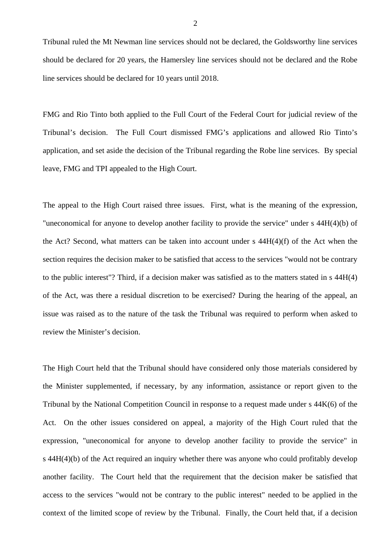Tribunal ruled the Mt Newman line services should not be declared, the Goldsworthy line services should be declared for 20 years, the Hamersley line services should not be declared and the Robe line services should be declared for 10 years until 2018.

FMG and Rio Tinto both applied to the Full Court of the Federal Court for judicial review of the Tribunal's decision. The Full Court dismissed FMG's applications and allowed Rio Tinto's application, and set aside the decision of the Tribunal regarding the Robe line services. By special leave, FMG and TPI appealed to the High Court.

The appeal to the High Court raised three issues. First, what is the meaning of the expression, "uneconomical for anyone to develop another facility to provide the service" under s 44H(4)(b) of the Act? Second, what matters can be taken into account under s 44H(4)(f) of the Act when the section requires the decision maker to be satisfied that access to the services "would not be contrary to the public interest"? Third, if a decision maker was satisfied as to the matters stated in s 44H(4) of the Act, was there a residual discretion to be exercised? During the hearing of the appeal, an issue was raised as to the nature of the task the Tribunal was required to perform when asked to review the Minister's decision.

The High Court held that the Tribunal should have considered only those materials considered by the Minister supplemented, if necessary, by any information, assistance or report given to the Tribunal by the National Competition Council in response to a request made under s 44K(6) of the Act. On the other issues considered on appeal, a majority of the High Court ruled that the expression, "uneconomical for anyone to develop another facility to provide the service" in s 44H(4)(b) of the Act required an inquiry whether there was anyone who could profitably develop another facility. The Court held that the requirement that the decision maker be satisfied that access to the services "would not be contrary to the public interest" needed to be applied in the context of the limited scope of review by the Tribunal. Finally, the Court held that, if a decision